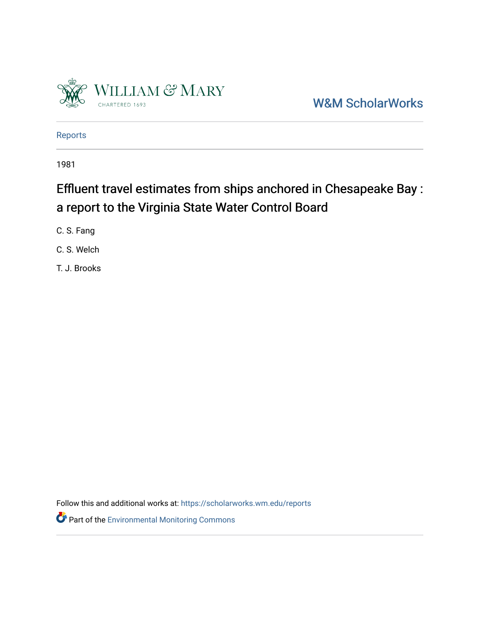

[W&M ScholarWorks](https://scholarworks.wm.edu/) 

[Reports](https://scholarworks.wm.edu/reports)

1981

# Effluent travel estimates from ships anchored in Chesapeake Bay : a report to the Virginia State Water Control Board

C. S. Fang

C. S. Welch

T. J. Brooks

Follow this and additional works at: [https://scholarworks.wm.edu/reports](https://scholarworks.wm.edu/reports?utm_source=scholarworks.wm.edu%2Freports%2F2626&utm_medium=PDF&utm_campaign=PDFCoverPages)

**Part of the [Environmental Monitoring Commons](http://network.bepress.com/hgg/discipline/931?utm_source=scholarworks.wm.edu%2Freports%2F2626&utm_medium=PDF&utm_campaign=PDFCoverPages)**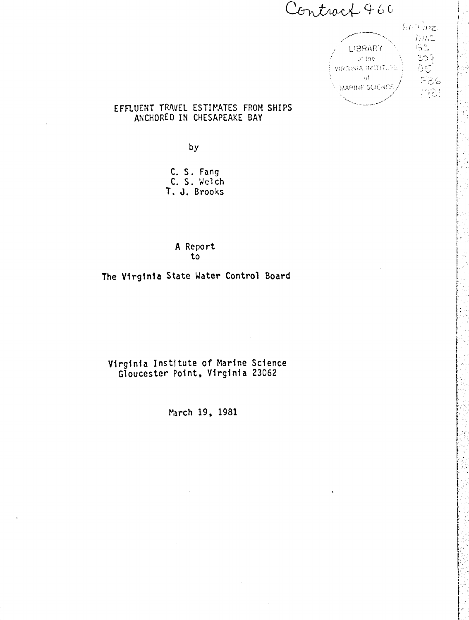Contract 460



## EFFLUENT TRAVEL ESTIMATES FROM SHIPS ANCHORED IN CHESAPEAKE BAY

 $by$ 

C. S. Fang C. S. Welch T. J. Brooks

> A Report to

The Virginia State Water Control Board

Virginia Institute of Marine Science Gloucester Point, Virginia 23062

March 19, 1981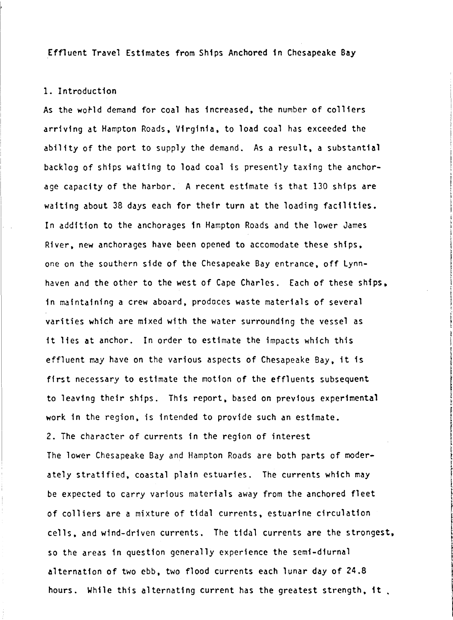Effluent Travel Estimates from Ships Anchored in Chesapeake Bay

#### 1. Introduction

As the world demand for coal has increased, the number of colliers arriving at Hampton Roads, Virginia, to load coal has exceeded the ability of the port to supply the demand. As a result, a substantial backlog of ships waiting to load coal is presently taxing the anchorage capacity of the harbor. A recent estimate is that 130 ships are waiting about 38 days each for their turn at the loading facilities. In addition to the anchorages tn Hampton Roads and the lower James River, new anchorages have been opened to accomodate these ships, one on the southern side of the Chesapeake Bay entrance, off Lynnhaven and the other to the west of Cape Charles. Each of these ships. in maintaining a crew aboard, prodaces waste materials of several varities which are mixed with the water surrounding the vessel as it lies at anchor. In order to estimate the impacts which this effluent may have on the various aspects of Chesapeake Bay, it is first necessary to estimate the motion of the effluents subsequent to leaving their ships. This report, based on previous experimental work in the region, is intended to provide such an estimate. 2. The character of currents in the region of interest The lower Chesapeake Bay and Hampton Roads are both parts of moderately stratified. coastal plain estuaries. The currents which may be expected to carry various materials away from the anchored fleet of colliers are a mixture of tidal currents, estuarine circulation cells. and wind-driven currents. The tidal currents are the strongest, so the areas 1n question generally experience the semi-diurnal alternation of two ebb, two flood currents each lunar day of 24.8 hours. While this alternating current has the greatest strength, it.

**International Property** 

f the contract of the contract of the contract of the contract of the contract of the contract of the contract of the contract of the contract of the contract of the contract of the contract of the contract of the contract o **International Property** ! I ! I I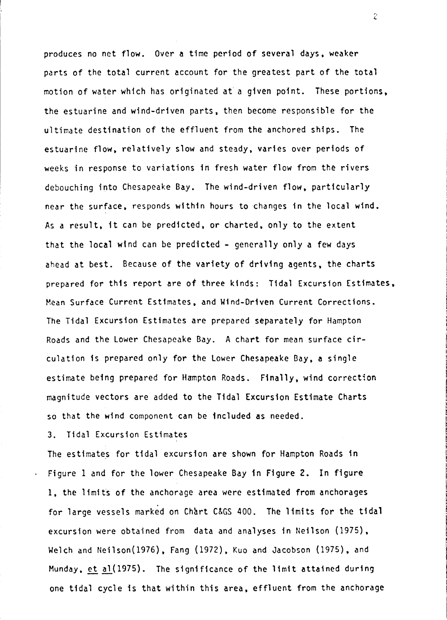produces no net flow. Over **a** time period of several days. weaker parts of the total current account for the greatest part of the total motion of water which has originated at a given point. These portions, the estuarine and wind-driven parts, then become responsible for the ultimate destination of the effluent from the anchored ships. The estuarine flow, relatively slow and steady, varies over periods of weeks in response to variations in fresh water flow from the rivers debouching into Chesapeake Bay. The wind-driven flow. particularly near the surface, responds within hours to changes in the local wind. As a result, it can be predicted, or charted. only to the extent that the local wind can be predicted  $-$  generally only a few days ahead at best. Because of the variety of driving agents. the charts prepared for this report are of three kinds: Tidal Excursion Estimates. Hean Surface Current Estimates. and Wind-Driven Current Corrections. The Tidal Excursion Estimates are prepared separately for Hampton Roads and the Lower Chesapeake Bay. A chart for mean surface circulation is prepared only for the Lower Chesapeake Bay, **a** single estimate being prepared for Hampton Roads. Finally, wind correction magnitude vectors are added to the Tidal Excursion Estimate Charts so that the wind component can be included as needed.

3. Tidal Excursion Estimates

The estimates for tidal excursion are shown for Hampton Roads in Figure 1 and for the lower Chesapeake Bay in Figure 2. In figure 1. the limits of the anchorage area were estimated from anchorages for large vessels marked on Chart C&GS 400. The limits for the tidal excursion were obtained from data and analyses in Neilson (1975). Welch and Neilson(1976), Fang (1972), Kuo and Jacobson (1975), and Munday. et ~(1975). The significance of the limit **attained** during one tidal cycle is that within this area, effluent from the anchorage

 $\hat{\mathcal{L}}$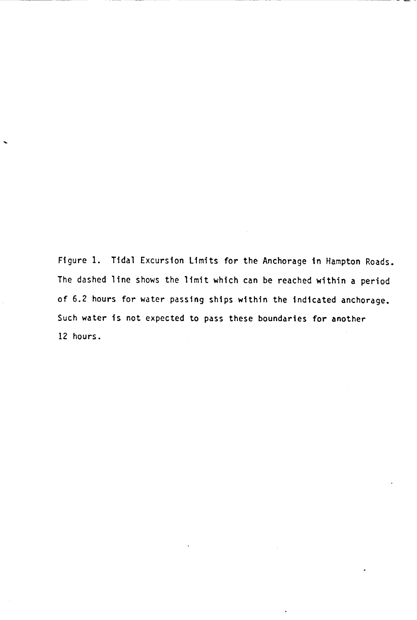Figure 1. Tidal Excursion Limits for the Anchorage in Hampton Roads. The dashed line shows the limit which can be reached within a period of 6.2 hours for water passing ships within the indicated anchorage. Such water is not expected to pass these boundaries for another 12 hours.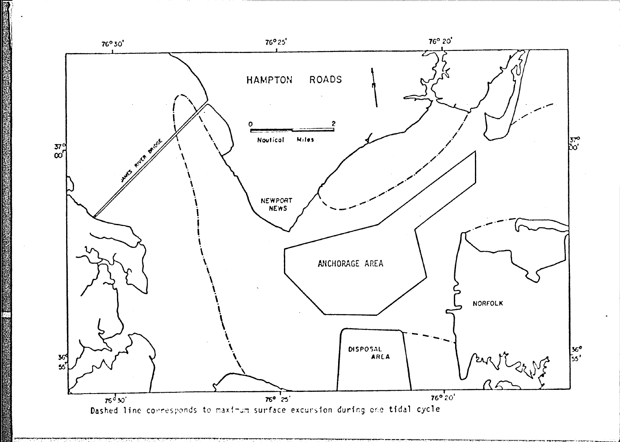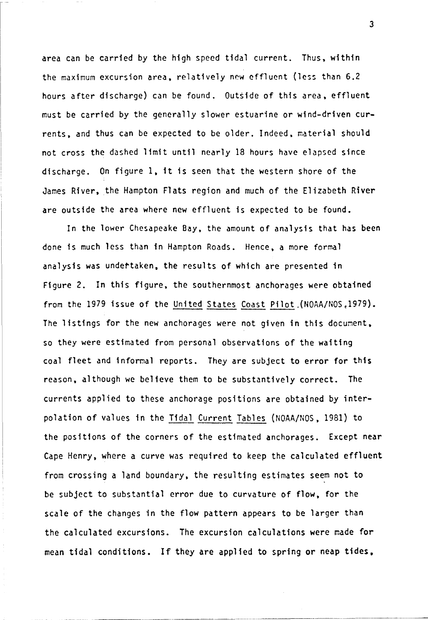area can be carried by the high speed tidal current. Thus, within the maximum excursion area, relatively new effluent (less than 6.2 hours after discharge) can be found. Outside of this area, effluent must be carried by the generally slower estuarine or wind-driven currents, and thus can be expected to be older. Indeed, material should not cross the dashed limit until nearly 18 hours have elapsed since discharge. On figure 1, it is seen that the western shore of the James River, the Hampton Flats region and much of the Elizabeth River are outside the area where new effluent is expected to be found.

In the lower Chesapeake Bay, the amount of analysis that has been done is much less than in Hampton Roads. Hence, a more formal analysis was undettaken, the results of which are presented in Figure 2. In this figure, the southernmost anchorages were obtained from the 1979 issue of the United States Coast Pilot . (NOAA/NOS.1979). The listings for the new anchorages were not given in this document. so they were estimated from personal observations of the waiting coal fleet and informal reports. They are subject to error for this reason, although we believe them to be substantively correct. The currents applied to these anchorage positions are obtained by interpolation of values in the Tidal Current Tables (NOAA/NOS, 1981) to the positions of the corners of the estimated anchorages. Except **near**  Cape Henry, where a curve was required to keep the calculated effluent from crossing a land boundary, the resulting estimates seem not to be subject to substantial error due to curvature of flow, for the scale of the changes in the flow pattern appears to be larger than the calculated excursions. The excursion calculations were made for mean tidal conditions. If they are applied to spring or neap tides,

3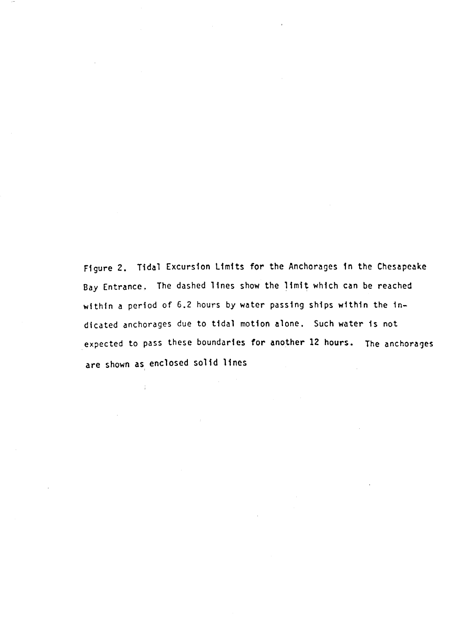Figure 2. Tidal Excursion Limits for the Anchorages 1n the Chesapeake Bay Entrance. The dashed lines show the limit which can be reached within a period of 6.2 hours by water passing ships within the indicated anchorages due to tidal motion alone, Such water 1s not expected to pass these boundaries for another 12 hours. The anchorages are shown as, enclosed solid lines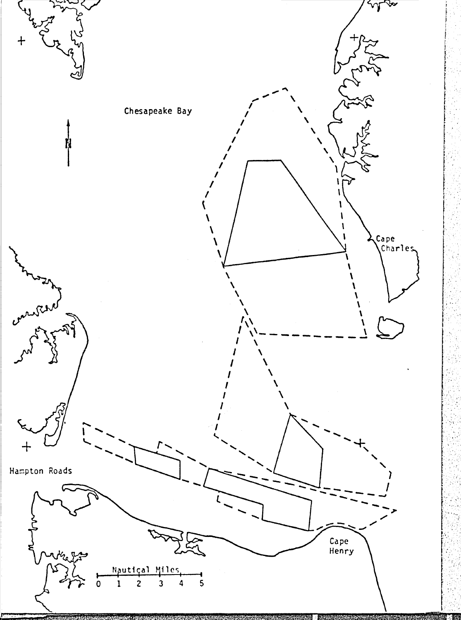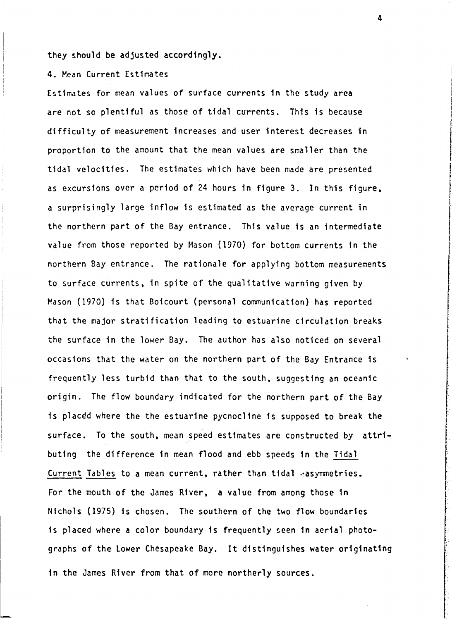they should be adjusted accordingly.

4. Hean Current Estimates

Estimates for mean values of surface currents in the study **area**  are not so plentiful as those of tidal currents. This is because difficulty of measurement increases and user interest decreases in proportion to the amount that the mean values are smaller than the tidal velocities. The estimates which have been made are presented as excursions over a period of 24 hours in figure 3. In this figure, a surprisingly large inflow is estimated as the average current in the northern part of the Bay entrance. This value is an intermediate value from those reported by Mason (1970) for bottom currents in the northern Bay entrance. The rationale for applying bottom measurements to surface currents, in spite of the qualitative warning given by Mason (1970) is that Boicourt (personal communication) has reported that the major stratification leading to estuarine circulation breaks the surface in the lower Bay. The author has also noticed on several occasions that the water on the northern part of the Bay Entrance is frequently less turbid than that to the south, suggesting an oceanic origin. The flow boundary indicated for the northern part of the Bay is placed where the the estuarine pycnocline is supposed to break the surface. To the south, mean speed estimates are constructed by attributing the difference in mean flood and ebb speeds in the Tidal Current Tables to a mean current, rather than tidal  $\cdot$  asymmetries. For the mouth of the James River, a value from among those 1n Nichols (1975) 1s chosen. The southern of the two flow boundaries is placed where a color boundary is frequently seen in aerial photographs of the Lower Chesapeake Bay. It distinguishes water originating in the James River from that of more northerly sources.

**International Contract of the Contract of the Contract of the Contract of the Contract of the Contract of the Contract of the Contract of the Contract of the Contract of the Contract of the Contract of the Contract of the In the light** line and the light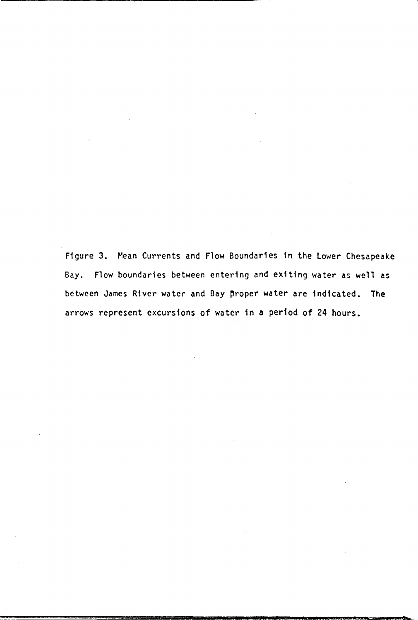Figure 3. Mean Currents and Flow Boundaries in the Lower Chesapeake Bay. Flow boundaries between entering and exiting water as well as between James River water and Bay proper water are indicated. The arrows represent excursions of water in a period of 24 hours.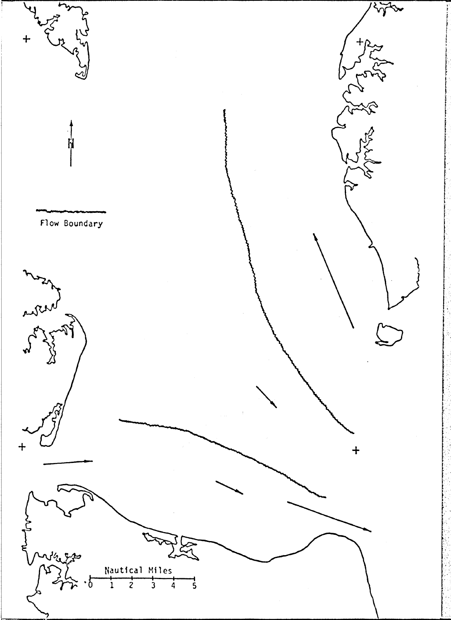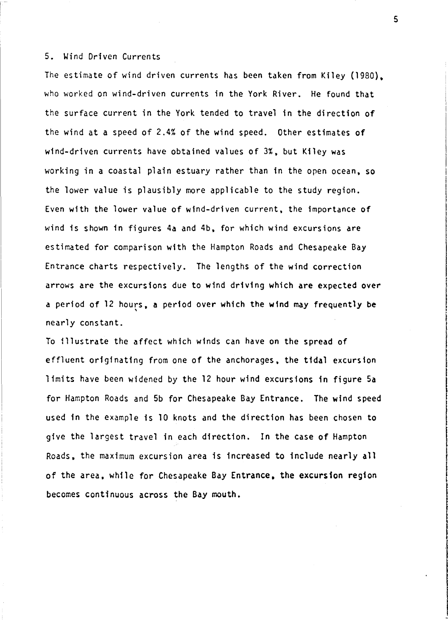### 5. Wind Driven Currents

The estimate of wind driven currents has been taken from Kiley (1980). who worked on wind-driven currents in the York River. He found that the surface current in the York tended to travel in the direction of the wind at a speed of 2.4% of the wind speed. Other estimates **of**  wind-driven currents have obtained values of 3%. but Kiley was working in a coastal plain estuary rather than in the open ocean, so the lower value is plausibly more applicable to the study region. Even with the lower value of wind-driven current. the importance **of**  wind is shown in figures 4a and 4b, for which wind excursions are estimated for comparison with the Hampton Roads and Chesapeake Bay Entrance charts respectively. The lengths of the wind correction arrows are the excursions due to wind driving which are expected over a period of 12 hours, **a** period over which the wind may frequently be ' nearly constant.

To illustrate the affect which winds can have on the spread of effluent originating from one of the anchorages, the tidal excursion limits have been widened by the 12 hour wind excursions in figure Sa for Hampton Roads and Sb for Chesapeake Bay Entrance. The wind speed used in the example is 10 knots and the direction has been chosen to give the largest travel in each direction. In the case of Hampton Roads, the maximum excursion area is increased to include nearly all of the area, while for Chesapeake Bay Entrance, the excursion region becomes continuous across the Bay mouth.

5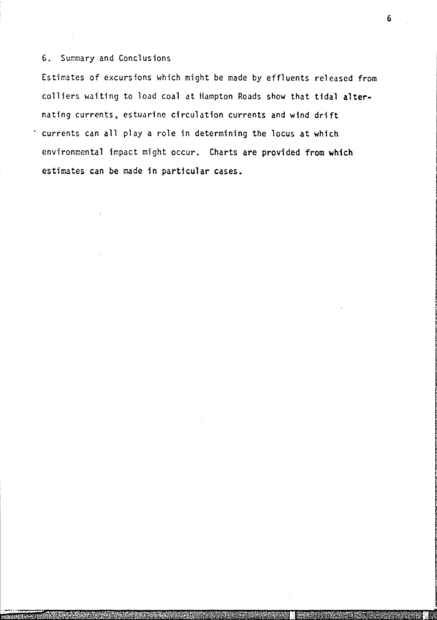# 6. Summary and Conclusions

Estimates of excursions which might be made by effluents released from colliers waiting to load coal at Hampton Roads show that tidal **alter**nating currents, estuarine circulation currents and wind drift currents can all play a role in determining the locus at which environmental impact might occur. Charts are provided from which estimates can be made in particular cases.

6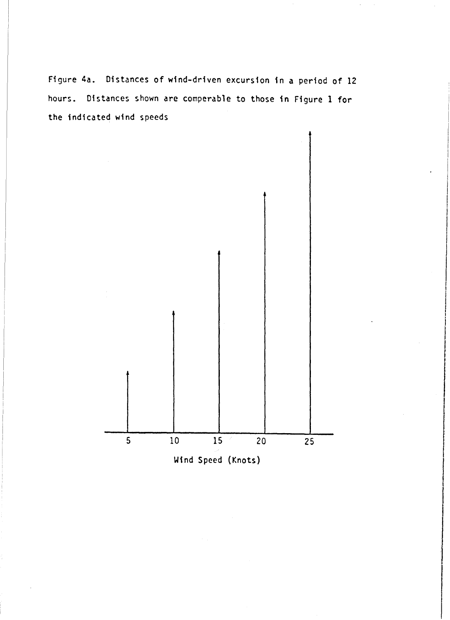Figure 4a. Distances of wind-driven excursion in a period of 12 hours. Distances shown are comperable to those in Figure 1 for the indicated wind speeds

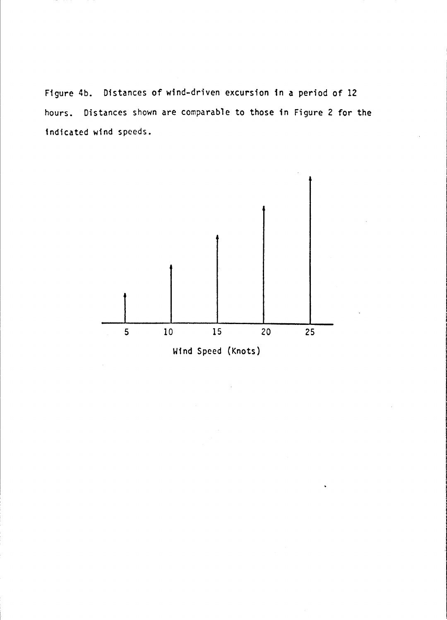Figure 4b. Distances of wind-driven excursion in a period of 12 hours. Distances shown are comparable to those in Figure 2 for the indicated wind speeds.

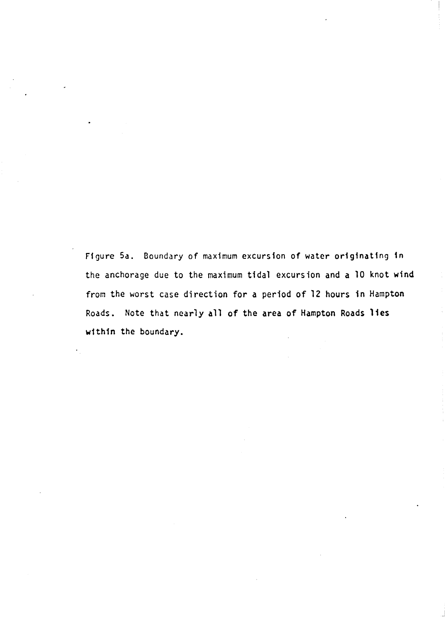Figure 5a. Boundary of maximum excursion of water originating in the anchorage due to the maximum tidal excursion and a 10 knot wind from the worst case direction for a period of 12 hours in Hampton Roads. Note that nearly all of the area of Hampton Roads lies within the boundary.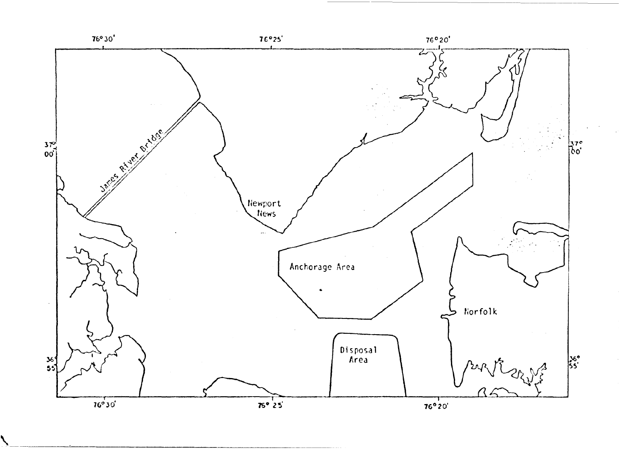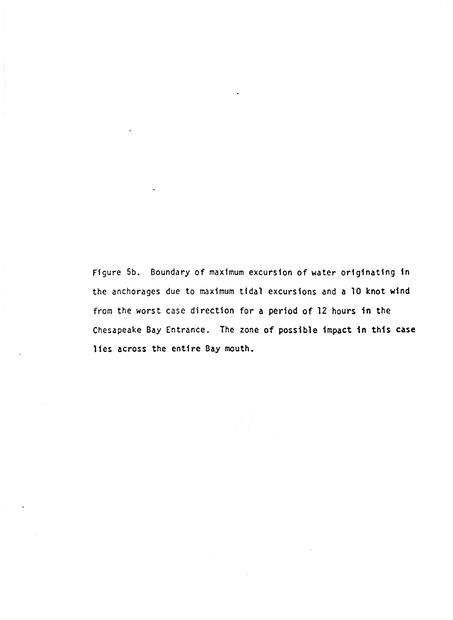Figure 5b. Boundary of maximum excursion of water originating in the anchorages due to maximum tidal excursions and a 10 knot wind from the worst case direction for a period of 12 hours in the Chesapeake Bay Entrance. The zone of possible impact in this **case**  11es across the entire Bay mouth.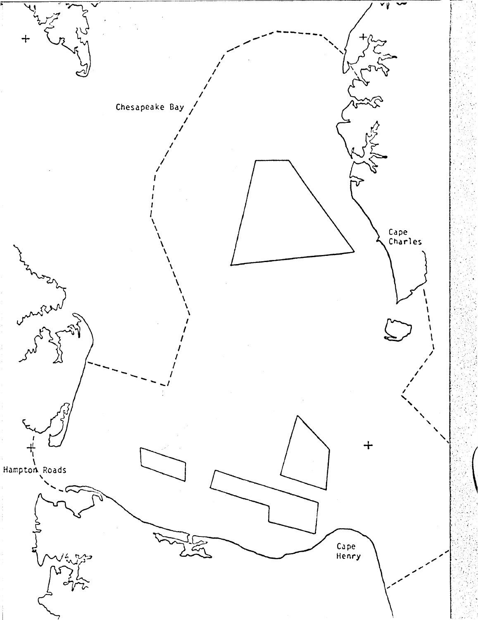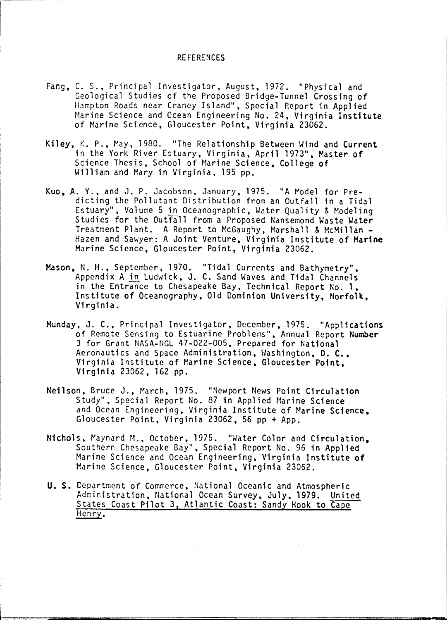#### REFERENCES

- Fang, C. S., Principal Investigator, August, 1972. "Physical and Geological Studies of the Proposed Bridge-Tunnel Crossing of Hampton Roads near Craney Island", Special Report in Applied Marine Science and Ocean Engineering No. 24, Virginia **Institute**  of Marine Science, Gloucester Point, Virginia 23062.
- Kiley, K. P., May, 1980. "The Relationship Between Wind and Current in the York River Estuary. Virginia, April 1973", Master of Science Thesis, School of Marine Science, College of William and Mary in Virginia, 195 pp.
- Kuo. A. Y., and J. P. Jacobson, January, 1975. "A Model for Predicting the Pollutant Distribution from an Outfall in a Tidal Estuary", Volume 5 in Oceanographic, Water Quality & Modeling Studies for the Outfall from a Proposed Nansemond Waste Water<br>Treatment Plant. A Report to McGaughy, Marshall & McMillan -Hazen and Sawyer: A Joint Venture, Virginia Institute of Marine Marine Science, Gloucester Point, Virginia 23062.
- **Mason,** N. H., September, 1970. "Tidal Currents and Bathymetry", Appendix A in Ludwick, J. C. Sand Waves and Tidal Channels in the Entrance to Chesapeake Bay, Technical Report No. **1.**  Institute of Oceanography, Old Dominion University, Norfolk, Virginia.
- Munday. J. C., Principal Investigator, December, 1975. "Applications of Remote Sensing to Estuarine Problems", Annual Report **Number**  3 for Grant NASA-NGL 47-022-005, Prepared for National Aeronautics and Space Administration, Washington, D. C., Virginia Institute of Marine Science, Gloucester Point, Virginia 23062, 162 pp.
- Neilson, Bruce J., March, 1975. "Newport News Point Circulation Study", Special Report No. 87 in Applied Marine Science and Ocean Engineering. Virginia Institute of Marine Science, Gloucester Point, Virginia 23062, 56 pp+ App.
- Nichols, Maynard M., October, 1975. "Water Color and Circulation. Southern Chesapeake Bay", Special Report No. 96 in Applied Marine Science and Ocean Engineering, Virginia Institute of Marine Science, Gloucester Point, Virginia 23062.
- **U.S.** Department of Commerce, National Oceanic and Atmospheric Administration, National Ocean Survey, July, 1979. United States Coast Pilot 3, Atlantic Coast: Sandy Hook to Cape